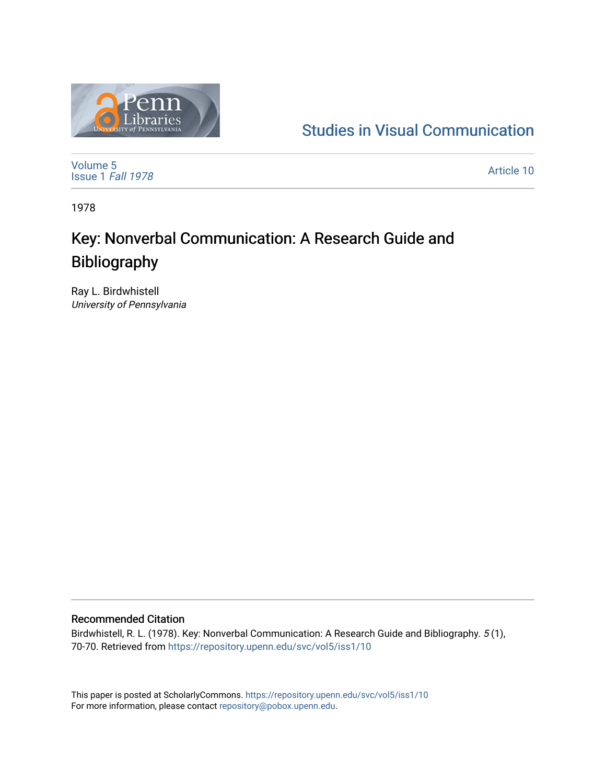

## [Studies in Visual Communication](https://repository.upenn.edu/svc)

[Volume 5](https://repository.upenn.edu/svc/vol5) [Issue 1](https://repository.upenn.edu/svc/vol5/iss1) Fall 1978

[Article 10](https://repository.upenn.edu/svc/vol5/iss1/10) 

1978

# Key: Nonverbal Communication: A Research Guide and Bibliography

Ray L. Birdwhistell University of Pennsylvania

## Recommended Citation

Birdwhistell, R. L. (1978). Key: Nonverbal Communication: A Research Guide and Bibliography. 5 (1), 70-70. Retrieved from <https://repository.upenn.edu/svc/vol5/iss1/10>

This paper is posted at ScholarlyCommons.<https://repository.upenn.edu/svc/vol5/iss1/10> For more information, please contact [repository@pobox.upenn.edu.](mailto:repository@pobox.upenn.edu)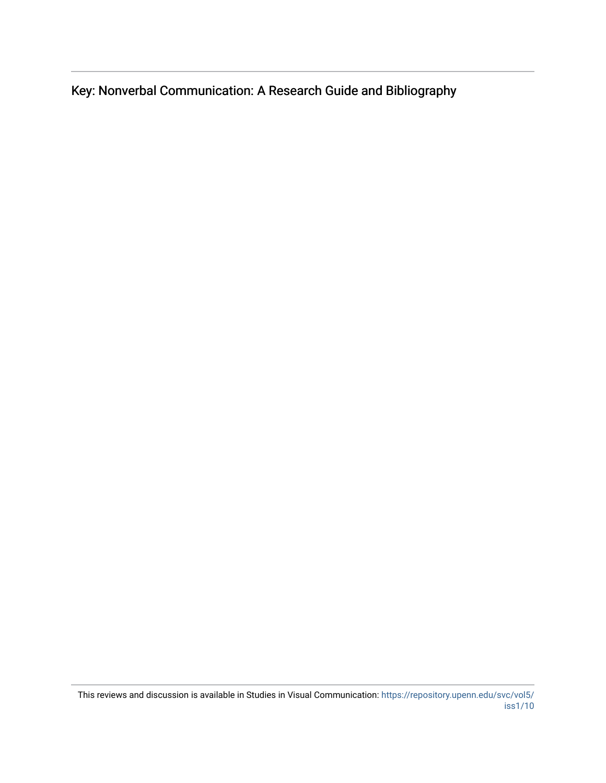Key: Nonverbal Communication: A Research Guide and Bibliography

This reviews and discussion is available in Studies in Visual Communication: [https://repository.upenn.edu/svc/vol5/](https://repository.upenn.edu/svc/vol5/iss1/10) [iss1/10](https://repository.upenn.edu/svc/vol5/iss1/10)